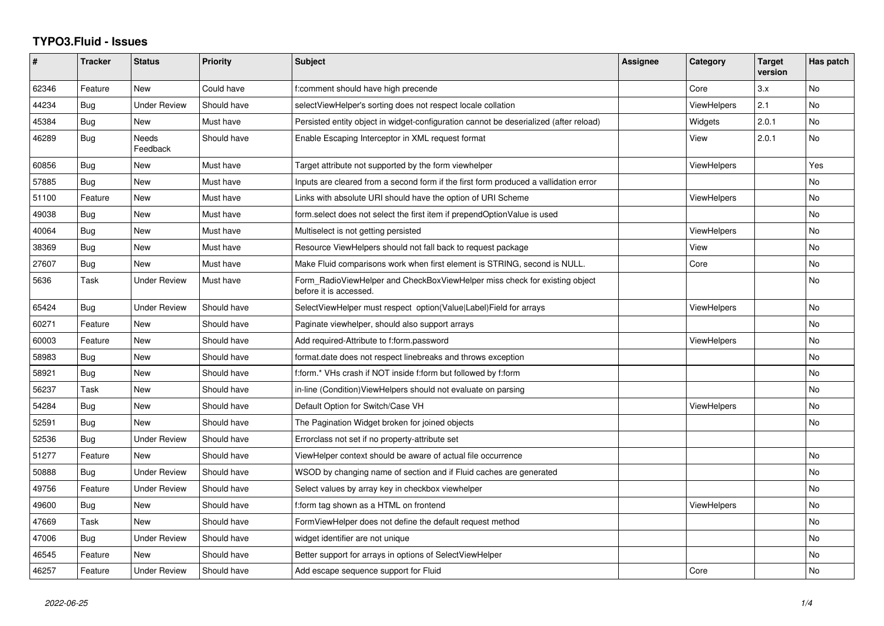## **TYPO3.Fluid - Issues**

| #     | <b>Tracker</b> | <b>Status</b>       | <b>Priority</b> | <b>Subject</b>                                                                                       | <b>Assignee</b> | Category           | <b>Target</b><br>version | Has patch |
|-------|----------------|---------------------|-----------------|------------------------------------------------------------------------------------------------------|-----------------|--------------------|--------------------------|-----------|
| 62346 | Feature        | New                 | Could have      | f:comment should have high precende                                                                  |                 | Core               | 3.x                      | <b>No</b> |
| 44234 | Bug            | Under Review        | Should have     | selectViewHelper's sorting does not respect locale collation                                         |                 | <b>ViewHelpers</b> | 2.1                      | No        |
| 45384 | Bug            | New                 | Must have       | Persisted entity object in widget-configuration cannot be deserialized (after reload)                |                 | Widgets            | 2.0.1                    | No        |
| 46289 | Bug            | Needs<br>Feedback   | Should have     | Enable Escaping Interceptor in XML request format                                                    |                 | View               | 2.0.1                    | <b>No</b> |
| 60856 | Bug            | New                 | Must have       | Target attribute not supported by the form viewhelper                                                |                 | ViewHelpers        |                          | Yes       |
| 57885 | Bug            | New                 | Must have       | Inputs are cleared from a second form if the first form produced a vallidation error                 |                 |                    |                          | <b>No</b> |
| 51100 | Feature        | New                 | Must have       | Links with absolute URI should have the option of URI Scheme                                         |                 | <b>ViewHelpers</b> |                          | No        |
| 49038 | <b>Bug</b>     | <b>New</b>          | Must have       | form.select does not select the first item if prependOptionValue is used                             |                 |                    |                          | <b>No</b> |
| 40064 | Bug            | New                 | Must have       | Multiselect is not getting persisted                                                                 |                 | <b>ViewHelpers</b> |                          | <b>No</b> |
| 38369 | <b>Bug</b>     | New                 | Must have       | Resource ViewHelpers should not fall back to request package                                         |                 | View               |                          | No        |
| 27607 | Bug            | New                 | Must have       | Make Fluid comparisons work when first element is STRING, second is NULL.                            |                 | Core               |                          | <b>No</b> |
| 5636  | Task           | Under Review        | Must have       | Form RadioViewHelper and CheckBoxViewHelper miss check for existing object<br>before it is accessed. |                 |                    |                          | No        |
| 65424 | Bug            | Under Review        | Should have     | SelectViewHelper must respect option(Value Label)Field for arrays                                    |                 | <b>ViewHelpers</b> |                          | <b>No</b> |
| 60271 | Feature        | New                 | Should have     | Paginate viewhelper, should also support arrays                                                      |                 |                    |                          | No        |
| 60003 | Feature        | <b>New</b>          | Should have     | Add required-Attribute to f:form.password                                                            |                 | <b>ViewHelpers</b> |                          | No        |
| 58983 | <b>Bug</b>     | New                 | Should have     | format.date does not respect linebreaks and throws exception                                         |                 |                    |                          | <b>No</b> |
| 58921 | Bug            | New                 | Should have     | f:form.* VHs crash if NOT inside f:form but followed by f:form                                       |                 |                    |                          | <b>No</b> |
| 56237 | Task           | <b>New</b>          | Should have     | in-line (Condition) View Helpers should not evaluate on parsing                                      |                 |                    |                          | <b>No</b> |
| 54284 | Bug            | New                 | Should have     | Default Option for Switch/Case VH                                                                    |                 | ViewHelpers        |                          | No        |
| 52591 | Bug            | New                 | Should have     | The Pagination Widget broken for joined objects                                                      |                 |                    |                          | <b>No</b> |
| 52536 | Bug            | <b>Under Review</b> | Should have     | Errorclass not set if no property-attribute set                                                      |                 |                    |                          |           |
| 51277 | Feature        | <b>New</b>          | Should have     | ViewHelper context should be aware of actual file occurrence                                         |                 |                    |                          | <b>No</b> |
| 50888 | Bug            | <b>Under Review</b> | Should have     | WSOD by changing name of section and if Fluid caches are generated                                   |                 |                    |                          | <b>No</b> |
| 49756 | Feature        | Under Review        | Should have     | Select values by array key in checkbox viewhelper                                                    |                 |                    |                          | No        |
| 49600 | Bug            | New                 | Should have     | f:form tag shown as a HTML on frontend                                                               |                 | <b>ViewHelpers</b> |                          | No        |
| 47669 | Task           | New                 | Should have     | FormViewHelper does not define the default request method                                            |                 |                    |                          | No        |
| 47006 | <b>Bug</b>     | <b>Under Review</b> | Should have     | widget identifier are not unique                                                                     |                 |                    |                          | No        |
| 46545 | Feature        | <b>New</b>          | Should have     | Better support for arrays in options of SelectViewHelper                                             |                 |                    |                          | <b>No</b> |
| 46257 | Feature        | Under Review        | Should have     | Add escape sequence support for Fluid                                                                |                 | Core               |                          | No        |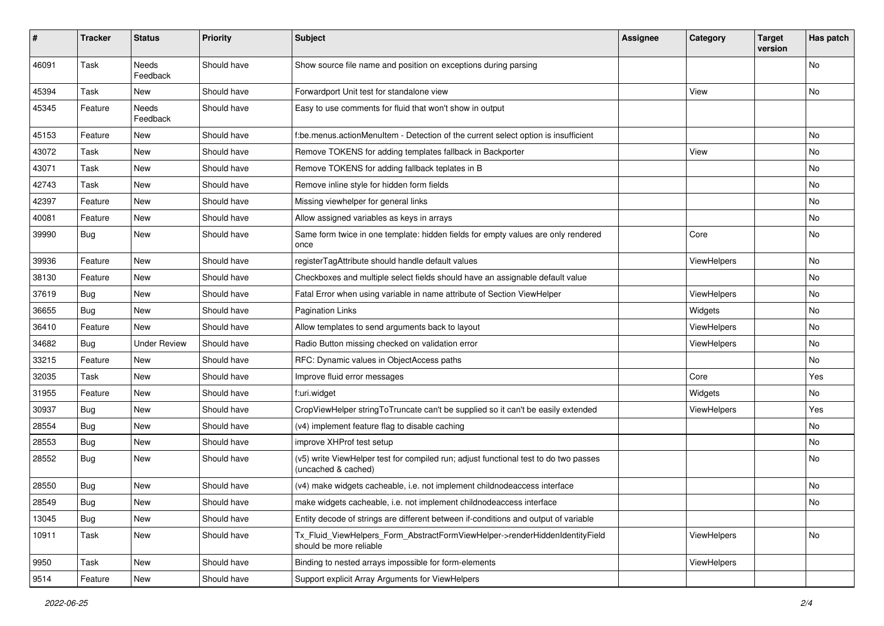| $\pmb{\#}$ | <b>Tracker</b> | <b>Status</b>       | <b>Priority</b> | <b>Subject</b>                                                                                              | Assignee | Category           | <b>Target</b><br>version | Has patch |
|------------|----------------|---------------------|-----------------|-------------------------------------------------------------------------------------------------------------|----------|--------------------|--------------------------|-----------|
| 46091      | Task           | Needs<br>Feedback   | Should have     | Show source file name and position on exceptions during parsing                                             |          |                    |                          | <b>No</b> |
| 45394      | Task           | New                 | Should have     | Forwardport Unit test for standalone view                                                                   |          | View               |                          | No        |
| 45345      | Feature        | Needs<br>Feedback   | Should have     | Easy to use comments for fluid that won't show in output                                                    |          |                    |                          |           |
| 45153      | Feature        | New                 | Should have     | f:be.menus.actionMenuItem - Detection of the current select option is insufficient                          |          |                    |                          | <b>No</b> |
| 43072      | Task           | New                 | Should have     | Remove TOKENS for adding templates fallback in Backporter                                                   |          | View               |                          | No        |
| 43071      | Task           | New                 | Should have     | Remove TOKENS for adding fallback teplates in B                                                             |          |                    |                          | No        |
| 42743      | Task           | New                 | Should have     | Remove inline style for hidden form fields                                                                  |          |                    |                          | No        |
| 42397      | Feature        | New                 | Should have     | Missing viewhelper for general links                                                                        |          |                    |                          | No        |
| 40081      | Feature        | New                 | Should have     | Allow assigned variables as keys in arrays                                                                  |          |                    |                          | <b>No</b> |
| 39990      | <b>Bug</b>     | New                 | Should have     | Same form twice in one template: hidden fields for empty values are only rendered<br>once                   |          | Core               |                          | No        |
| 39936      | Feature        | <b>New</b>          | Should have     | registerTagAttribute should handle default values                                                           |          | ViewHelpers        |                          | <b>No</b> |
| 38130      | Feature        | New                 | Should have     | Checkboxes and multiple select fields should have an assignable default value                               |          |                    |                          | No        |
| 37619      | <b>Bug</b>     | New                 | Should have     | Fatal Error when using variable in name attribute of Section ViewHelper                                     |          | ViewHelpers        |                          | No        |
| 36655      | Bug            | New                 | Should have     | <b>Pagination Links</b>                                                                                     |          | Widgets            |                          | No        |
| 36410      | Feature        | New                 | Should have     | Allow templates to send arguments back to layout                                                            |          | <b>ViewHelpers</b> |                          | No        |
| 34682      | <b>Bug</b>     | <b>Under Review</b> | Should have     | Radio Button missing checked on validation error                                                            |          | ViewHelpers        |                          | <b>No</b> |
| 33215      | Feature        | New                 | Should have     | RFC: Dynamic values in ObjectAccess paths                                                                   |          |                    |                          | No        |
| 32035      | Task           | New                 | Should have     | Improve fluid error messages                                                                                |          | Core               |                          | Yes       |
| 31955      | Feature        | New                 | Should have     | f:uri.widget                                                                                                |          | Widgets            |                          | No        |
| 30937      | <b>Bug</b>     | New                 | Should have     | CropViewHelper stringToTruncate can't be supplied so it can't be easily extended                            |          | <b>ViewHelpers</b> |                          | Yes       |
| 28554      | <b>Bug</b>     | New                 | Should have     | (v4) implement feature flag to disable caching                                                              |          |                    |                          | No        |
| 28553      | <b>Bug</b>     | New                 | Should have     | improve XHProf test setup                                                                                   |          |                    |                          | No        |
| 28552      | <b>Bug</b>     | New                 | Should have     | (v5) write ViewHelper test for compiled run; adjust functional test to do two passes<br>(uncached & cached) |          |                    |                          | <b>No</b> |
| 28550      | <b>Bug</b>     | New                 | Should have     | (v4) make widgets cacheable, i.e. not implement childnodeaccess interface                                   |          |                    |                          | No        |
| 28549      | <b>Bug</b>     | New                 | Should have     | make widgets cacheable, i.e. not implement childnodeaccess interface                                        |          |                    |                          | No        |
| 13045      | Bug            | New                 | Should have     | Entity decode of strings are different between if-conditions and output of variable                         |          |                    |                          |           |
| 10911      | Task           | New                 | Should have     | Tx_Fluid_ViewHelpers_Form_AbstractFormViewHelper->renderHiddenIdentityField<br>should be more reliable      |          | ViewHelpers        |                          | No        |
| 9950       | Task           | New                 | Should have     | Binding to nested arrays impossible for form-elements                                                       |          | ViewHelpers        |                          |           |
| 9514       | Feature        | New                 | Should have     | Support explicit Array Arguments for ViewHelpers                                                            |          |                    |                          |           |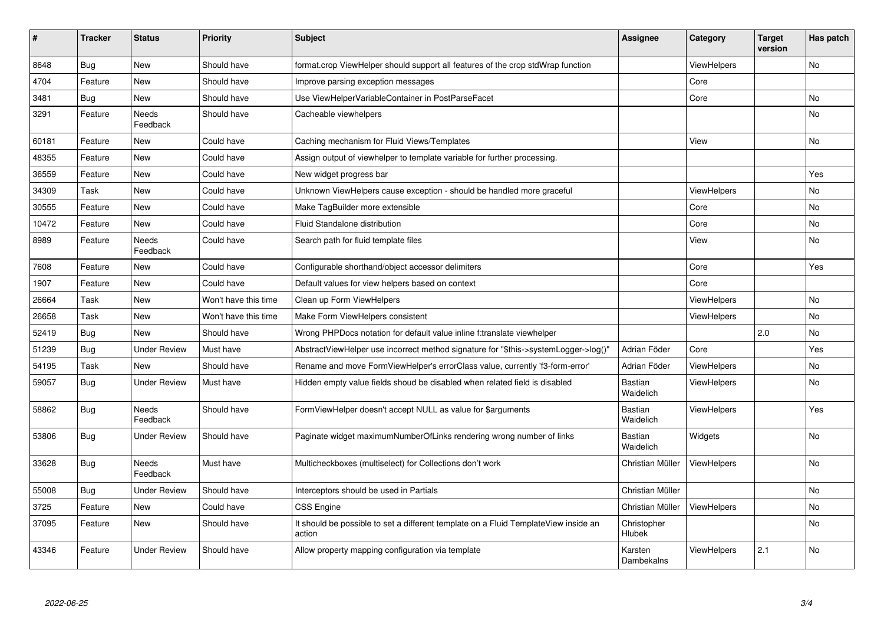| #     | <b>Tracker</b> | <b>Status</b>            | <b>Priority</b>      | <b>Subject</b>                                                                                | Assignee                    | Category           | <b>Target</b><br>version | Has patch |
|-------|----------------|--------------------------|----------------------|-----------------------------------------------------------------------------------------------|-----------------------------|--------------------|--------------------------|-----------|
| 8648  | Bug            | <b>New</b>               | Should have          | format.crop ViewHelper should support all features of the crop stdWrap function               |                             | <b>ViewHelpers</b> |                          | <b>No</b> |
| 4704  | Feature        | New                      | Should have          | Improve parsing exception messages                                                            |                             | Core               |                          |           |
| 3481  | Bug            | <b>New</b>               | Should have          | Use ViewHelperVariableContainer in PostParseFacet                                             |                             | Core               |                          | No        |
| 3291  | Feature        | <b>Needs</b><br>Feedback | Should have          | Cacheable viewhelpers                                                                         |                             |                    |                          | <b>No</b> |
| 60181 | Feature        | <b>New</b>               | Could have           | Caching mechanism for Fluid Views/Templates                                                   |                             | View               |                          | No        |
| 48355 | Feature        | <b>New</b>               | Could have           | Assign output of viewhelper to template variable for further processing.                      |                             |                    |                          |           |
| 36559 | Feature        | New                      | Could have           | New widget progress bar                                                                       |                             |                    |                          | Yes       |
| 34309 | Task           | New                      | Could have           | Unknown ViewHelpers cause exception - should be handled more graceful                         |                             | ViewHelpers        |                          | No        |
| 30555 | Feature        | <b>New</b>               | Could have           | Make TagBuilder more extensible                                                               |                             | Core               |                          | No        |
| 10472 | Feature        | New                      | Could have           | Fluid Standalone distribution                                                                 |                             | Core               |                          | No        |
| 8989  | Feature        | Needs<br>Feedback        | Could have           | Search path for fluid template files                                                          |                             | View               |                          | No        |
| 7608  | Feature        | New                      | Could have           | Configurable shorthand/object accessor delimiters                                             |                             | Core               |                          | Yes       |
| 1907  | Feature        | New                      | Could have           | Default values for view helpers based on context                                              |                             | Core               |                          |           |
| 26664 | Task           | <b>New</b>               | Won't have this time | Clean up Form ViewHelpers                                                                     |                             | <b>ViewHelpers</b> |                          | No        |
| 26658 | Task           | <b>New</b>               | Won't have this time | Make Form ViewHelpers consistent                                                              |                             | <b>ViewHelpers</b> |                          | <b>No</b> |
| 52419 | <b>Bug</b>     | <b>New</b>               | Should have          | Wrong PHPDocs notation for default value inline f:translate viewhelper                        |                             |                    | 2.0                      | No        |
| 51239 | Bug            | <b>Under Review</b>      | Must have            | AbstractViewHelper use incorrect method signature for "\$this->systemLogger->log()"           | Adrian Föder                | Core               |                          | Yes       |
| 54195 | Task           | New                      | Should have          | Rename and move FormViewHelper's errorClass value, currently 'f3-form-error'                  | Adrian Föder                | <b>ViewHelpers</b> |                          | No        |
| 59057 | Bug            | <b>Under Review</b>      | Must have            | Hidden empty value fields shoud be disabled when related field is disabled                    | Bastian<br>Waidelich        | <b>ViewHelpers</b> |                          | No.       |
| 58862 | Bug            | <b>Needs</b><br>Feedback | Should have          | FormViewHelper doesn't accept NULL as value for \$arguments                                   | <b>Bastian</b><br>Waidelich | <b>ViewHelpers</b> |                          | Yes       |
| 53806 | <b>Bug</b>     | Under Review             | Should have          | Paginate widget maximumNumberOfLinks rendering wrong number of links                          | Bastian<br>Waidelich        | Widgets            |                          | No        |
| 33628 | <b>Bug</b>     | Needs<br>Feedback        | Must have            | Multicheckboxes (multiselect) for Collections don't work                                      | Christian Müller            | <b>ViewHelpers</b> |                          | No        |
| 55008 | Bug            | <b>Under Review</b>      | Should have          | Interceptors should be used in Partials                                                       | Christian Müller            |                    |                          | No.       |
| 3725  | Feature        | New                      | Could have           | CSS Engine                                                                                    | Christian Müller            | <b>ViewHelpers</b> |                          | No        |
| 37095 | Feature        | New                      | Should have          | It should be possible to set a different template on a Fluid TemplateView inside an<br>action | Christopher<br>Hlubek       |                    |                          | No        |
| 43346 | Feature        | <b>Under Review</b>      | Should have          | Allow property mapping configuration via template                                             | Karsten<br>Dambekalns       | <b>ViewHelpers</b> | 2.1                      | No.       |